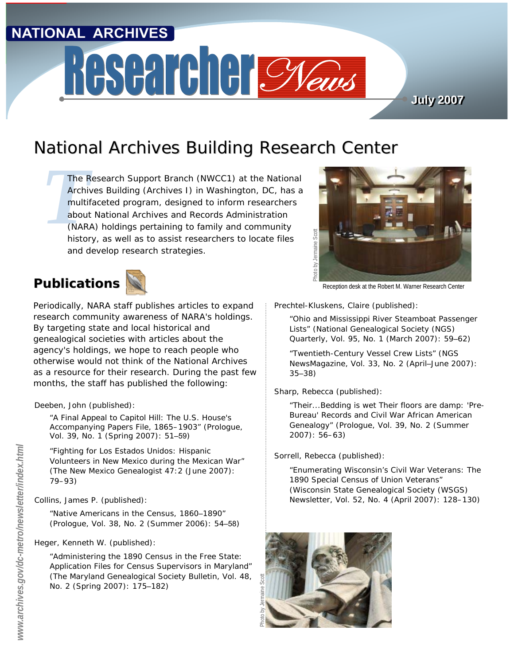## **NATIONAL ARCHIVES**

# Researcher Cyclus

**July 2007 July 2007**

## National Archives Building Research Center

The F<br>Archi<br>multi<br>abou.<br>(NAR.<br>bistol *The Research Support Branch (NWCC1) at the National Archives Building (Archives I) in Washington, DC, has a multifaceted program, designed to inform researchers about National Archives and Records Administration (NARA) holdings pertaining to family and community history, as well as to assist researchers to locate files and develop research strategies.*



Periodically, NARA staff publishes articles to expand research community awareness of NARA's holdings. By targeting state and local historical and genealogical societies with articles about the agency's holdings, we hope to reach people who otherwise would not think of the National Archives as a resource for their research. During the past few months, the staff has published the following:

Deeben, John (published):

"A Final Appeal to Capitol Hill: The U.S. House's Accompanying Papers File, 1865–1903" (*Prologue,*  Vol. 39, No. 1 (Spring 2007): 51–59)

"Fighting for *Los Estados Unidos*: Hispanic Volunteers in New Mexico during the Mexican War" (*The New Mexico Genealogist* 47:2 (June 2007): 79–93)

Collins, James P. (published):

"Native Americans in the Census, 1860–1890" (*Prologue*, Vol. 38, No. 2 (Summer 2006): 54–58)

Heger, Kenneth W. (published):

"Administering the 1890 Census in the Free State: Application Files for Census Supervisors in Maryland" (*The Maryland Genealogical Society Bulletin,* Vol. 48, No. 2 (Spring 2007): 175–182)



Prechtel-Kluskens, Claire (published):

"Ohio and Mississippi River Steamboat Passenger Lists" (*National Genealogical Society (NGS) Quarterly*, Vol. 95, No. 1 (March 2007): 59–62)

"Twentieth-Century Vessel Crew Lists" (*NGS NewsMagazine*, Vol. 33, No. 2 (April–June 2007): 35–38)

Sharp, Rebecca (published):

"Their...Bedding is wet Their floors are damp: 'Pre-Bureau' Records and Civil War African American Genealogy" (*Prologue*, Vol. 39, No. 2 (Summer S<br>
2007): 56–63<br>
2007): 56–63<br>
2007): 56–63<br>
2007): 56–63<br>
2007): 56–63<br>
2007): 56–63)<br>
2007): 56–63)<br>
2007): 56–63)

Sorrell, Rebecca (published):

"Enumerating Wisconsin's Civil War Veterans: The 1890 Special Census of Union Veterans" (*Wisconsin State Genealogical Society (WSGS) Newsletter*, Vol. 52, No. 4 (April 2007): 128–130)

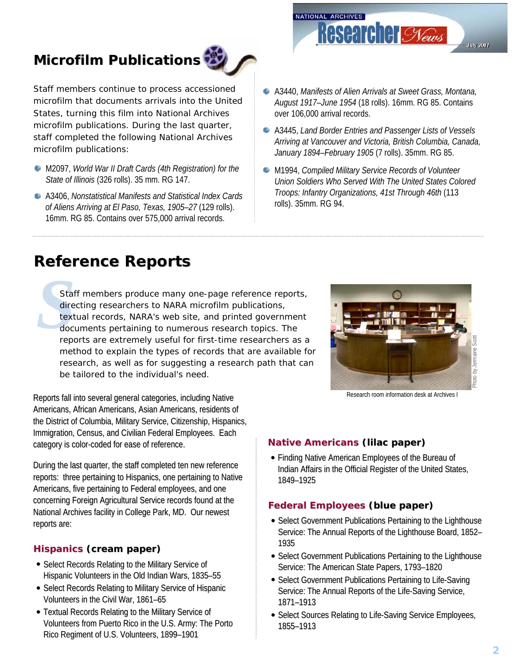## **Microfilm Publications**



Staff members continue to process accessioned microfilm that documents arrivals into the United States, turning this film into National Archives microfilm publications. During the last quarter, staff completed the following National Archives microfilm publications:

- M2097, *World War II Draft Cards (4th Registration) for the State of Illinois* (326 rolls). 35 mm. RG 147.
- A3406, *Nonstatistical Manifests and Statistical Index Cards of Aliens Arriving at El Paso, Texas, 1905–27* (129 rolls). 16mm. RG 85. Contains over 575,000 arrival records.

A3440, *Manifests of Alien Arrivals at Sweet Grass, Montana, August 1917–June 1954* (18 rolls). 16mm. RG 85. Contains over 106,000 arrival records.

**Researcher Syews** 

**July 2007** 

NATIONAL ARCHIVES

- A3445, *Land Border Entries and Passenger Lists of Vessels Arriving at Vancouver and Victoria, British Columbia, Canada, January 1894–February 1905* (7 rolls). 35mm. RG 85.
- M1994, *Compiled Military Service Records of Volunteer Union Soldiers Who Served With The United States Colored Troops: Infantry Organizations, 41st Through 46th* (113 rolls). 35mm. RG 94.

## **Reference Reports Reference Reports**

Staf<br>dire<br>text<br>docu<br>repo Staff members produce many one-page reference reports, directing researchers to NARA microfilm publications, textual records, NARA's web site, and printed government documents pertaining to numerous research topics. The reports are extremely useful for first-time researchers as a method to explain the types of records that are available for research, as well as for suggesting a research path that can be tailored to the individual's need.

Reports fall into several general categories, including Native Americans, African Americans, Asian Americans, residents of the District of Columbia, Military Service, Citizenship, Hispanics, Immigration, Census, and Civilian Federal Employees. Each category is color-coded for ease of reference.

During the last quarter, the staff completed ten new reference reports: three pertaining to Hispanics, one pertaining to Native Americans, five pertaining to Federal employees, and one concerning Foreign Agricultural Service records found at the National Archives facility in College Park, MD. Our newest reports are:

## **Hispanics (cream paper)**

- Select Records Relating to the Military Service of Hispanic Volunteers in the Old Indian Wars, 1835–55
- Select Records Relating to Military Service of Hispanic Volunteers in the Civil War, 1861-65
- Textual Records Relating to the Military Service of Volunteers from Puerto Rico in the U.S. Army: The Porto Rico Regiment of U.S. Volunteers, 1899-1901



Research room information desk at Archives I

## **Native Americans (lilac paper)**

• Finding Native American Employees of the Bureau of Indian Affairs in the Official Register of the United States, 1849–1925

## **Federal Employees (blue paper)**

- Select Government Publications Pertaining to the Lighthouse Service: The Annual Reports of the Lighthouse Board, 1852-1935
- Select Government Publications Pertaining to the Lighthouse Service: The American State Papers, 1793-1820
- Select Government Publications Pertaining to Life-Saving Service: The Annual Reports of the Life-Saving Service, 1871–1913
- Select Sources Relating to Life-Saving Service Employees, 1855–1913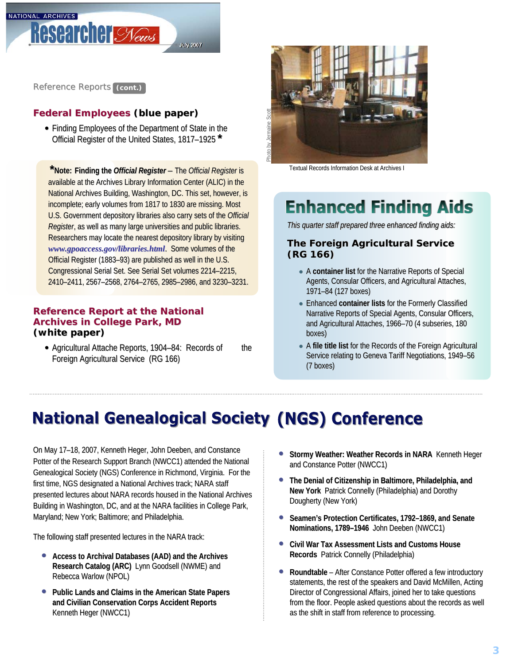

Reference Reports (cont.)

## **Federal Employees (blue paper)**

• Finding Employees of the Department of State in the Official Register of the United States, 1817–1925<sup>\*</sup>

**Finding the the** *Official Register Official Register*– The *Official Register Register*is **\*Note:**available at the Archives Library Information Center (ALIC) in the National Archives Building, Washington, DC. This set, however, is incomplete; early volumes from 1817 to 1830 are missing. Most U.S. Government depository libraries also carry sets of the *Official Register*, as well as many large universities and public libraries. Researchers may locate the nearest depository library by visiting *[www.gpoaccess.gov/libraries.html](http://www.gpoaccess.gov/libraries.html).* Some volumes of the Official Register (1883–93) are published as well in the U.S. Congressional Serial Set. See Serial Set volumes 2214–2215, 2410–2411, 2567–2568, 2764–2765, 2985–2986, and 3230–3231.

#### **Reference Report at the National Archives in College Park, MD (white paper)**

• Agricultural Attache Reports, 1904–84: Records of the Foreign Agricultural Service (RG 166)



Textual Records Information Desk at Archives I

## **Enhanced Finding Aids**

*This quarter staff prepared three enhanced finding aids: This quarter staff prepared three enhanced finding aids: This quarter staff prepared three enhanced finding aids:*

## **The Foreign Agricultural Service The Foreign Agricultural Service The Foreign Agricultural Service (RG 166) 166)**

- A **container list container list** for the Narrative Reports of Special for the Narrative Reports of Special Agents, Consular Officers, and Agricultural Attaches, 1971–84 (127 boxes)
- **Enhanced container lists for the Formerly Classified** Narrative Reports of Special Agents, Consular Officers, and Agricultural Attaches, 1966–70 (4 subseries, 180 boxes)
- A file title list for the Records of the Foreign Agricultural Service relating to Geneva Tariff Negotiations, 1949–56 (7 boxes) (7 boxes)

## **National Genealogical Society (NGS) Conference**

On May 17–18, 2007, Kenneth Heger, John Deeben, and Constance Potter of the Research Support Branch (NWCC1) attended the National Genealogical Society (NGS) Conference in Richmond, Virginia. For the first time, NGS designated a National Archives track; NARA staff presented lectures about NARA records housed in the National Archives Building in Washington, DC, and at the NARA facilities in College Park, Maryland; New York; Baltimore; and Philadelphia.

The following staff presented lectures in the NARA track:

- **Access to Archival Databases (AAD) and the Archives Research Catalog (ARC)** Lynn Goodsell (NWME) and Rebecca Warlow (NPOL)
- **Public Lands and Claims in the American State Papers and Civilian Conservation Corps Accident Reports and Civilian Conservation Accident Reports**  Kenneth Heger (NWCC1)
- **Stormy Weather: Weather Records in NARA Kenneth Heger** and Constance Potter (NWCC1)
- **The Denial of Citizenship in Baltimore, Philadelphia, and New York** Patrick Connelly (Philadelphia) and Dorothy Dougherty (New York)
- **Seamen's Protection Certificates, 1792-1869, and Senate Nominations, 1789-1946** John Deeben (NWCC1)
- **Civil War Tax Assessment Lists and Customs House Records** Patrick Connelly (Philadelphia)
- **Roundtable** After Constance Potter offered a few introductory statements, the rest of the speakers and David McMillen, Acting Director of Congressional Affairs, joined her to take questions from the floor. People asked questions about the records as well as the shift in staff from reference to processing.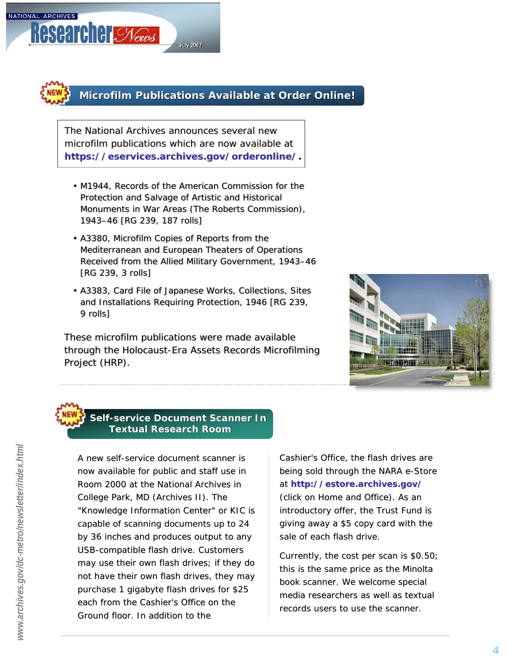**Researcher Syews** 

NATIONAL ARCHIVES

## **Microfilm Publications Available at Order Online!**

The National Archives announces several new The National Archives announces several new microfilm publications which are now available at microfilm publications which are now available at *https://eservices.archives.gov/orderonline/. <https://eservices.archives.gov/orderonline/>.*

**July 2007** 

- M1944, *Records of the American Commission for the*  •M1944, *Records of the American Commission for the rds American Commission for the Protection and Salvage of Artistic and Historical*  Protection and Salvage of Artistic and Historical<br>Monuments in War Areas (The Roberts Commission), *1943–46* [RG 239, 187 rolls] *1943–46*[RG 239, 187 rolls]
- A3380, *Microfilm Copies of Reports from the Mediterranean and European Theaters of Operations*  •A3380, *Microfilm Copies of Reports from the s Mediterranean and European Theaters of Operations an Theaters Operations Received from the Allied Military Government, 1943–46 Received from the Allied Received from the Allied Military Government, Military Government, 1943–46* [RG 239, 3 rolls]
- A3383, *Card File of Japanese Works, Collections, Sites*  •A3383, *Card File of Japanese File of Works, Collections, Sites Sites and Installations Requiring Protection, 1946* [RG 239, *and Inst Installations Requiring Protection, 1946 allations Requiring 1946* [RG 239, [RG 239, 9 rolls] 9rolls]

These microfilm publications were made available through the Holocaust-Era Assets Records Microfilming Project (HRP). Project (HRP). Project (HRP).



## **Self-service Document Scanner In Textual Research Room**

A new self-service document scanner is now available for public and staff use in Room 2000 at the National Archives in College Park, MD (Archives II). The "Knowledge Information Center" or KIC is capable of scanning documents up to 24 by 36 inches and produces output to any USB-compatible flash drive. Customers may use their own flash drives; if they do not have their own flash drives, they may purchase 1 gigabyte flash drives for \$25 each from the Cashier's Office on the Ground floor. In addition to the

Cashier's Office, the flash drives are being sold through the NARA e-Store at *[http://estore.archives.gov/ ://estore.archives.gov/](http://estore.archives.gov/)* (click on *Home and Office*). As an introductory offer, the Trust Fund is giving away a \$5copy card with the sale of each flash drive.

Currently, the cost per scan is  $$0.50;$ this is the same price as the Minolta book scanner. *Wewelcome special media researchers as well as textual records users to use the scanner.*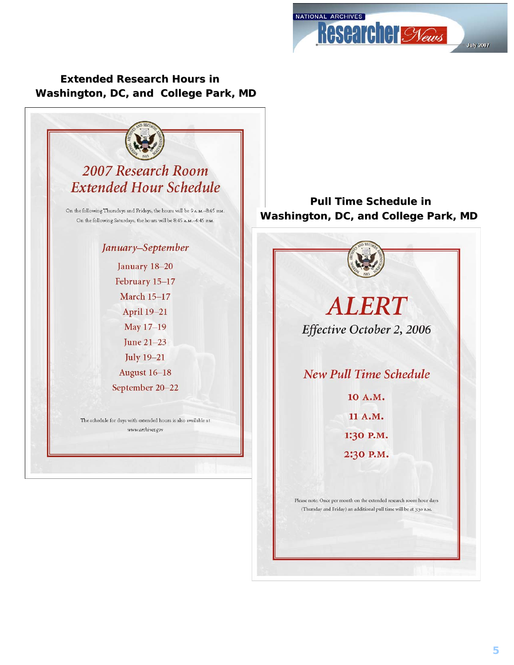NATIONAL ARCHIVES **Researcher Syews July 2007** 

## **Washington, DC, and College Park, MD Extended Research Hours in**



**Pull Time Schedule in Washington, DC, and College Park, MD**

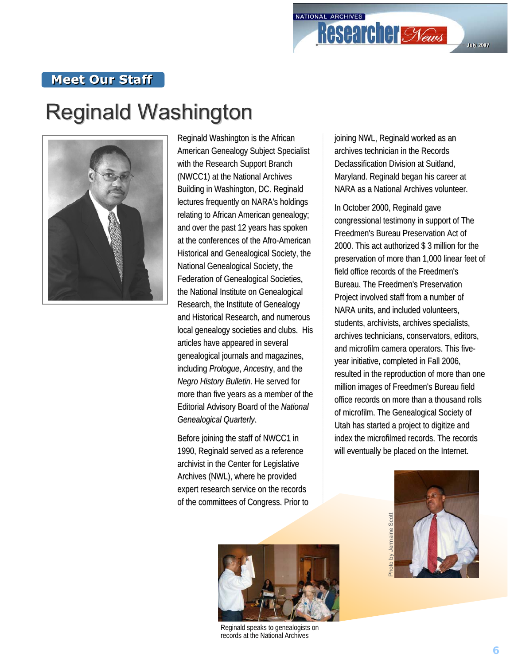## **Meet Our Staff**

# **Reginald Washington**



Reginald Washington is the African American Genealogy Subject Specialist American Genealogy Subject Specialist with the Research Support Branch (NWCC1) at the National Archives Building in Washington, DC. Reginald lectures frequently on NARA's holdings relating to African American genealogy; and over the past 12 years has spoken at the conferences of the Afro-American Historical and Genealogical Society, the National Genealogical Society, the Federation of Genealogical Societies, the National Institute on Genealogical Research, the Institute of Genealogy and Historical Research, and numerous local genealogy societies and clubs. His articles have appeared in several genealogical journals and magazines, *including Prologue, Ancestry, and the Negro History Bulletin*. He served for more than five years as a member of the Editorial Advisory Board of the *National Genealogical Quarterly Genealogical Quarterly*.

Before joining the staff of NWCC1 in 1990, Reginald served as a reference archivist in the Center for Legislative Archives (NWL), where he provided expert research service on the records of the committees of Congress. Prior to joining NWL, Reginald worked as an archives technician in the Records archives technician in the Records Declassification Division at Suitland. Maryland. Reginald began his career at NARA as a National Archives volunteer.

In October 2000, Reginald gave congressional testimony in support of The Freedmen's Bureau Preservation Act of 2000. This act authorized \$ 3 million for the preservation of more than 1,000 linear feet of field office records of the Freedmen's Bureau. The Freedmen's Preservation Project involved staff from a number of NARA units, and included volunteers, students, archivists, archives specialists, archives technicians, conservators, editors, and microfilm camera operators. This fiveyear initiative, completed in Fall 2006, resulted in the reproduction of more than one million images of Freedmen's Bureau field office records on more than a thousand rolls of microfilm. The Genealogical Society of microfilm. The Genealogical Utah has started a project to digitize and index the microfilmed records. The records will eventually be placed on the Internet.





Reginald speaks to genealogists on records at the National Archives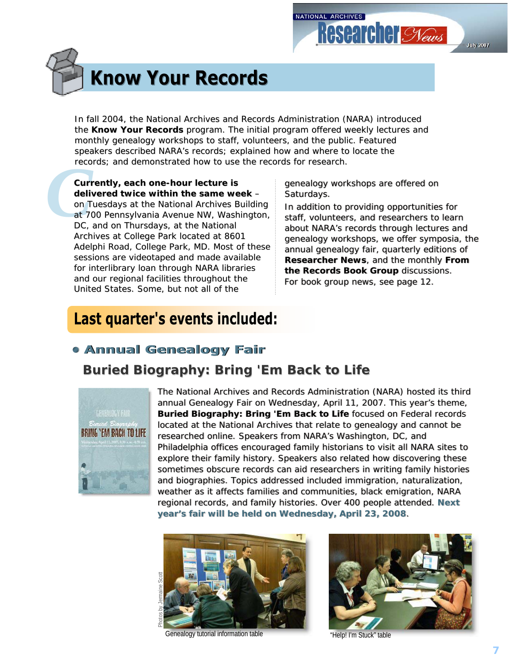## **July 2007**

# **Know Your Records**

the **Know Your Records** program. The initial program offered weekly lectures and monthly genealogy workshops to staff, volunteers, and the public. Featured speakers described NARA's records; explained how and where to locate the records; and demonstrated how to use the records for research.

In fall 2004, the National Archives and Records Administration (NARA) introduced<br>
monothly genealogy workshops to staff, volunteers, and the public. Featured<br>
speakers described NARA's records; explained how and where to l reco<br> **Curr**<br> **deliv**<br>
on T<br>
at 70<br>
DC, **Currently, each one-hour lecture is hour lecture is delivered twice within the same week** – on Tuesdays at the National Archives Building at 700 Pennsylvania Avenue NW, Washington, DC, and on Thursdays, at the National Archives at College Park located at 8601 Adelphi Road, College Park, MD. Most of these sessions are videotaped and made available for interlibrary loan through NARA libraries and our regional facilities throughout the United States. Some, but not all of the

#### genealogy workshops are offered on genealogy workshops are offered on genealogy Saturdays.

Saturdays.<br>In addition to providing opportunities for staff, volunteers, and researchers to learn about NARA's records through lectures and about NARA's records through lectures and records through lectures and genealogy workshops, we offer symposia, the annual genealogy fair, quarterly editions of **Researcher News**, and the monthly From **the Records Book Group** discussions. *For book group news, see page 12. For book group news, see page 12. For book group news, see page 12.*

## Last quarter's events included:

## **• Annual Genealogy Fair**

## *Buried Biography: Bring ' 'Em Back to Life Back*



The National Archives and Records Administration (NARA) hosted its third<br>annual Genealogy Fair on Wednesday, April 11, 2007. This year's theme, annual Genealogy Fair on Wednesday, April 11, 2007. This year's theme, **Buried Biography: Bring 'Em Back to Life** focused on Federal records located at the National Archives that relate to genealogy and cannot be researched online. Speakers from NARA's Washington, DC, and Philadelphia offices encouraged family historians to visit all NARA sites to explore their family history. Speakers also related how discovering these sometimes obscure records can aid researchers in writing family histories and biographies. Topics addressed included immigration, naturalization, weather as it affects families and communities, black emigration, NARA weather as it affects families and communities, black emigration, NARA<br>regional records, and family histories. Over 400 people attended. Next **year's fair will be held on Wednesday, April 23, 2008**. **year's fair will be held on Wednesday, April 23, 2008**.



Genealogy tutorial information table "Help! I'm Stuck" table

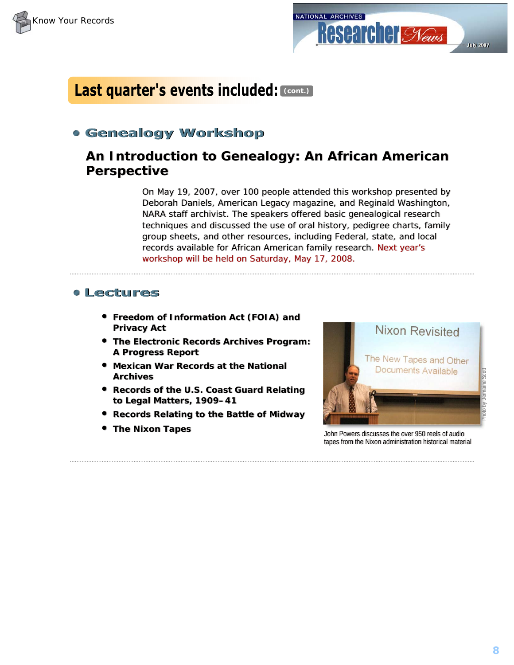



## Last quarter's events included: (CODIt.)

## **• Genealogy Workshop**

## **An Introduction to Genealogy: An African American An Introduction to Genealogy: An African American Perspective Perspective**

On May 19, 2007, over 100 people attended this workshop presented by Deborah Daniels, *American Legacy* magazine, and Reginald Washington, NARA staff archivist. The speakers offered basic genealogical research NARA staff archivist. The speakers offered basic genealogical research techniques and discussed the use of oral history, pedigree charts, family group sheets, and other resources, including Federal, state, and local records available for African American family research. Next year's workshop will be held on Saturday, May 17, 2008.

## **• Lectures**

- **Freedom of Information Act (FOIA) and Privacy Act Privacy**
- **The Electronic Records Archives Program: A Progress Report A Progress Report**
- **Mexican War Records at the National Archives Archives Archives**
- **Records of the U.S. Coast Guard Relating to Legal Matters, 1909–41 to Legal Matters, 1909–41**
- **Records Relating to the Battle of Midway**
- **The Nixon Tapes**



**The Nixon Tapes The Nixon Tapes The State of Audio Contract of Audio Contract of Audio John Powers discusses the over 950 reels of audio Contract of Audio Contract of Audio Contract of Audio Contract of Audio Contract** tapes from the Nixon administration historical material tapes from the Nixon administration historical material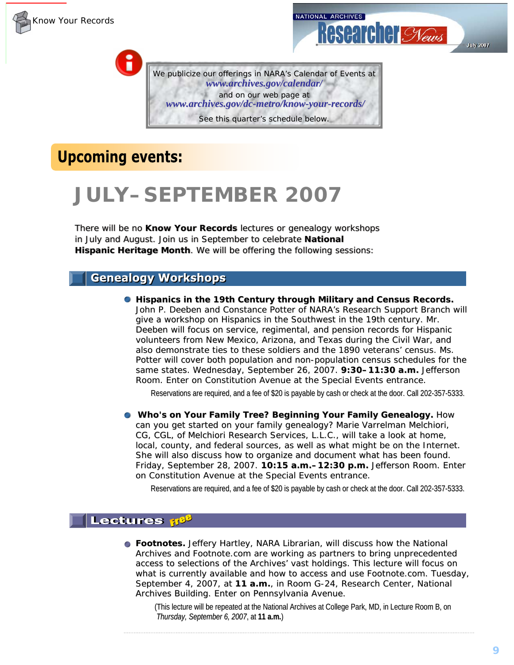

î

We publicize our offerings in NARA's *Calendar of Events* at *www.archives.gov [www.archives.gov/calendar/](http://www.archives.gov/calendar/) /calendar/* and on our web page at *www.archives.gov [www.archives.gov/dc-metro/know-your-records/](http://www.archives.gov/dc-metro/know-your-records/) records/* See this quarter's schedule below.

## **Upcoming events:**

## **JULY–SEPTEMBER 2007**

There will be no Know Your Records lectures or genealogy workshops in July and August. Join us in September to celebrate **National** Hispanic Heritage Month. We will be offering the following sessions:

## **Genealogy Workshops**

**Example 19th Century through Military and Census Records.** John P. Deeben and Constance Potter of NARA's Research Support Branch will give a workshop on Hispanics in the Southwest in the 19th century. Mr. Deeben will focus on service, regimental, and pension records for Hispanic volunteers from New Mexico, Arizona, and Texas during the Civil War, and also demonstrate ties to these soldiers and the 1890 veterans' census. Ms. Potter will cover both population and non-population census schedules for the same states. Wednesday, September 26, 2007. **9:30–11:30 a.m.** Jefferson Room. Enter on Constitution Avenue at the Special Events entrance.

Reservations are required, and a fee of \$20 is payable by cash or check at the door. Call 202-357-5333.

**C** Who's on Your Family Tree? Beginning Your Family Genealogy. How can you get started on your family genealogy? Marie Varrelman Melchiori, CG, CGL, of *Melchiori Research Services, L.L.C.*, will take a look at home, local, county, and federal sources, as well as what might be on the Internet. She will also discuss how to organize and document what has been found. *Friday, September 28, 2007.* **10:15 a.m.–12:30 p.m.** Jefferson Room. Enter on Constitution Avenue at the Special Events entrance.

Reservations are required, and a fee of \$20 is payable by cash or check at the door. Call 202-357-5333.

## **Lectures** #8<sup>9</sup>

**Footnotes.** Jeffery Hartley, NARA Librarian, will discuss how the National  $\blacksquare$ Archives and *Footnote.com* are working as partners to bring unprecedented access to selections of the Archives' vast holdings. This lecture will focus on what is currently available and how to access and use *Footnote.com. Tuesday*, *September 4, 2007*, at 11 a.m., in Room G-24, Research Center, National Archives Building. Enter on Pennsylvania Avenue.

(This lecture will be repeated at the National Archives at College Park, MD, in Lecture Room B, on *Thursday, September 6, 2007*, at 11 a.m.)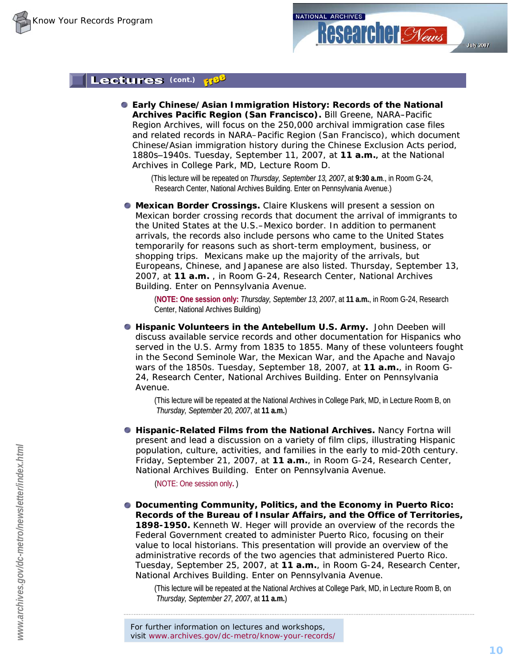## Lectures (cont.)

**Early Chinese/Asian Immigration History: Records of the National ly Chinese/Asian Immigration History: Records of the Archives Pacific Region (San Francisco). Bill Greene, NARA-Pacific** Region Archives, will focus on the 250,000 archival immigration case files and related records in NARA–Pacific Region (San Francisco), which document Chinese/Asian immigration history during the Chinese Exclusion Acts period, 1880s–1940s. *Tuesday, September 11, 2007*, at **11 a.m. 11 a.m.**, at the National , Archives in College Park, MD, Lecture Room D.

(This lecture will be repeated on *Thursday, September 13, 2007*, at 9:30 a.m., in Room G-24, Research Center, National Archives Building. Enter on Pennsylvania Avenue.)

**Mexican Border Crossings.** Claire Kluskens will present a session on Mexican border crossing records that document the arrival of immigrants to the United States at the U.S.–Mexico border. In addition to permanent arrivals, the records also include persons who came to the United States temporarily for reasons such as short-term employment, business, or shopping trips. Mexicans make up the majority of the arrivals, but Europeans, Chinese, and Japanese are also listed. Thursday, September 13, 2007, at 11 a.m., in Room G-24, Research Center, National Archives Building. Enter on Pennsylvania Avenue.

(**NOTE: One session only: : One session** *Thursday, Sep Thursday, September 13, 2007 tember 13,* , at **11 a.m. 11** , in Room G-24, Resea 24, Research Center, National Archives Building)

**• Hispanic Volunteers in the Antebellum U.S. Army.** John Deeben will discuss available service records and other documentation for Hispanics who served in the U.S. Army from 1835 to 1855. Many of these volunteers fought in the Second Seminole War, the Mexican War, and the Apache and Navajo wars of the 1850s. *Tuesday, September 18, 2007*, at **11 a.m.**, in Room G-24, Research Center, National Archives Building. Enter on Pennsylvania Avenue.

(This lecture will be repeated at the National Archives in College Park, MD, in Lecture Room B, on *Thursday, September 20, 2007*, at **11 a.m.**)

**• Hispanic-Related Films from the National Archives. Nancy Fortna will** present and lead a discussion on a variety of film clips, illustrating Hispanic population, culture, activities, and families in the early to mid-20th century. *Friday, September 21, 2007*, at 11 a.m., in Room G-24, Research Center, National Archives Building. Enter on Pennsylvania Avenue.

(NOTE: One session only**.** )

**O** Documenting Community, Politics, and the Economy in Puerto Rico: **[R](http://www.archives.gov/dc-metro/newsletter/index.html)ecords of Records of the Bureau of Insular Affairs, and the Office of Terr the Affairs, and the Office Territories, 1898-1950.** Kenneth W. Heger will provide an overview of the records the Federal Government created to administer Puerto Rico, focusing on their value to local historians. This presentation will provide an overview of the administrative records of the two agencies that administered Puerto Rico. *Tuesday, September 25, 2007*, at 11 a.m., in Room G-24, Research Center, National Archives Building. Enter on Pennsylvania Avenue.

(This lecture will be repeated at the National Archives at College Park, MD, in Lecture Room B, on *Thursday, September 27, 2007*, at **11 a.m.**)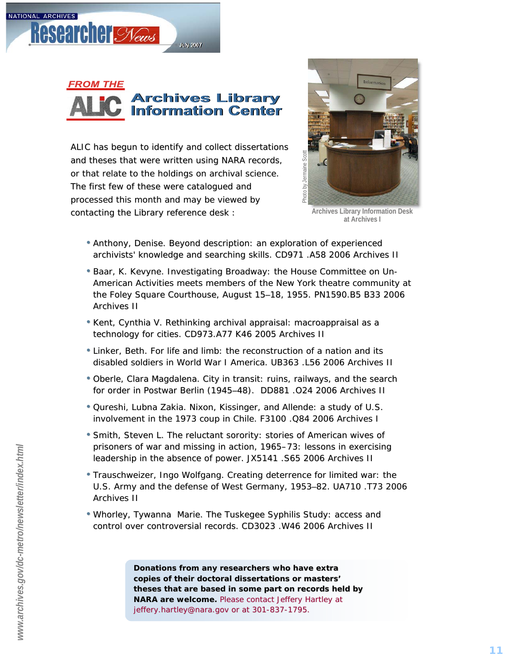



ALIC has begun to identify and collect dissertations and theses that were written using NARA records, or that relate to the holdings on archival science. The first few of these were catalogued and processed this month and may be viewed by contacting the Library reference desk :



**Archives Library Information Desk at Archives I**

- Anthony, Denise. *Beyond description: an exploration of experienced* archivists' knowledge and searching skills. CD971 .A58 2006 Archives II
- Baar, K. Kevyne. *Investigating Broadway: the House Committee on Un-American Activities meets members American Activities meets members of the New York theatre community at the Foley Square Courthouse, August 15 –18, 1955. 18, 1955.* PN1590.B5 B33 2006 PN1590.B5 B33 2006 Archives II
- Kent, Cynthia V. *Rethinking archival appraisal: macroappraisal as a technology for cities. technology for cities.* CD973.A77 K46 2005 Archives II
- Linker, Beth. For life and limb: the reconstruction of a nation and its *disabled soldiers in World War I America. World War America.* UB363 .L56 2006 Archives II
- Oberle, Clara Magdalena. City in transit: ruins, railways, and the search *for order in Postwar Berlin (1945 –48).* DD881 .O24 2006 Archives II
- Qureshi, Lubna Zakia. *Nixon, Kissinger, and Allende: a study of U.S. involvement in the 1973 coup in Chile. involvement in coup in Chile.* F3100 .Q84 2006 Archives I
- Smith, Steven L. The reluctant sorority: stories of American wives of *prisoners of prisoners of war and missing in action, 1965 war and missing in action, 1965 –73: lessons in exercising 73: lessons in exercising*  leadership in the absence of power. JX5141 .S65 2006 Archives II
- Trauschweizer, Ingo Wolfgang. Creating deterrence for limited war: the *U.S. Army and the defense of West Germany, 1953 –82.* UA710 .T73 2006 Archives II
- Whorley, Tywanna Marie. *The Tuskegee Syphilis Study: access and The Tuskegee Syphilis Study: access and control over controversial records. control over*  CD3023 .W46 2006 Archives II

*Donations from any researchers who have extra copies of their doctoral dissertations or masters' copies of doctoral dissertations or theses that are based in some part on records held by theses that are based in some part on records held by NARA are welcome. NARA Please contact Jeffery Hartley at Jeffery Hartley at [jeffery.hartley@nara.gov](mailto:jeffery.hartley@nara.gov) or at 301 -837 France Scotting*<br> *-1795.*<br> *-1795.*<br> *-1795.*<br> *-1795.*<br> *-73: It*<br> *-73: It*<br> *-73: It*<br> *-73: It*<br> *-73: It*<br> *-73: It*<br> *-73: It*<br>
 -73: *It*<br>
 -73: *It*<br>
 -73: *It*<br>
 -73: *It*<br>
 -73: *It*<br>
 -73: *It*<br>
 -73: *It*<br>
 -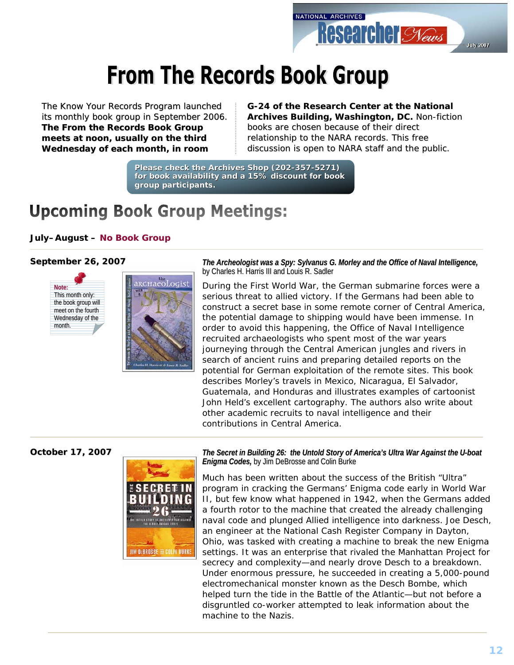

# **From The Records Book Group**

The Know Your Records Program launched its monthly book group in September 2006. **The From the Records Book Group The From the Records Book Group meets at noon, usually on the third Wednesday of each month, in room meets at usually on the third Wednesday of each month, in room** 

#### **G-24 of the Research Center at 24 of the Research Center at the National the National Archives Building, Washington, DC. Non-fiction** books are chosen because of their direct relationship to the NARA records. This free *discussion is open to NARA staff and the public. discussion is open to NARA staff and the public.*

**Please check the Archives Shop (202-357-5271)**  for book availability and a 15% discount for book **group participants. group participants.**

## **Upcoming Book Group Meetings:**

#### **July–August – No Book Group**

#### **September 26, 2007**





*The Archeologist was a Spy: Sylvanus G. Morley and the Office of Naval Intelligence, regional and the Office of Naval Intelligence,*  $\overline{a}$ by Charles H. Harris III and Louis R. Sadler

During the First World War, the German submarine forces were a serious threat to allied victory. If the Germans had been able to construct a secret base in some remote corner of Central America, the potential damage to shipping would have been immense. In order to avoid this happening, the Office of Naval Intelligence recruited archaeologists who spent most of the war years journeying through the Central American jungles and rivers in search of ancient ruins and preparing detailed reports on the potential for German exploitation of the remote sites. This book describes Morley's travels in Mexico, Nicaragua, El Salvador, Guatemala, and Honduras and illustrates examples of cartoonist John Held's excellent cartography. The authors also write about other academic recruits to naval intelligence and their contributions in Central America.

**October 17, 2007**



*The Secret in Building 26: the Untold Story of America's Ultra War Against the U-boat Enigma Codes, by Jim DeBrosse and Colin Burke* 

Much has been written about the success of the British "Ultra" program in cracking the Germans' Enigma code early in World War II, but few know what happened in 1942, when the Germans added a fourth rotor to the machine that created the already challenging naval code and plunged Allied intelligence into darkness. Joe Desch, an engineer at the National Cash Register Company in Dayton, Ohio, was tasked with creating a machine to break the new Enigma settings. It was an enterprise that rivaled the Manhattan Project for secrecy and complexity—and nearly drove Desch to a breakdown. Under enormous pressure, he succeeded in creating a 5,000-pound electromechanical monster known as the Desch Bombe, which helped turn the tide in the Battle of the Atlantic—but not before a disgruntled co-worker attempted to leak information about the machine to the Nazis.